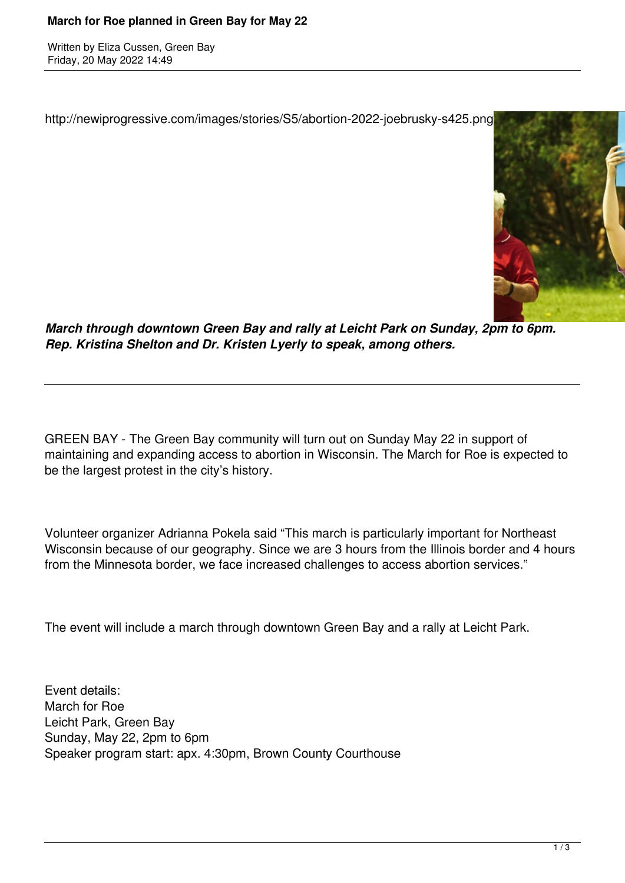## **March for Roe planned in Green Bay for May 22**

Written by Eliza Cussen, Green Bay Friday, 20 May 2022 14:49

http://newiprogressive.com/images/stories/S5/abortion-2022-joebrusky-s425.png



*March through downtown Green Bay and rally at Leicht Park on Sunday, 2pm to 6pm. Rep. Kristina Shelton and Dr. Kristen Lyerly to speak, among others.*

GREEN BAY - The Green Bay community will turn out on Sunday May 22 in support of maintaining and expanding access to abortion in Wisconsin. The March for Roe is expected to be the largest protest in the city's history.

Volunteer organizer Adrianna Pokela said "This march is particularly important for Northeast Wisconsin because of our geography. Since we are 3 hours from the Illinois border and 4 hours from the Minnesota border, we face increased challenges to access abortion services."

The event will include a march through downtown Green Bay and a rally at Leicht Park.

Event details: March for Roe Leicht Park, Green Bay Sunday, May 22, 2pm to 6pm Speaker program start: apx. 4:30pm, Brown County Courthouse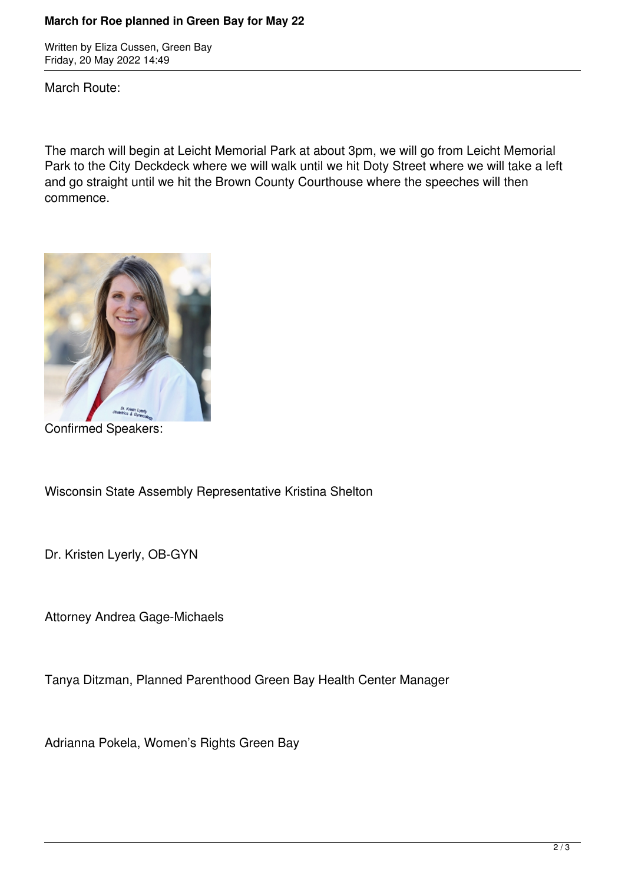## **March for Roe planned in Green Bay for May 22**

Written by Eliza Cussen, Green Bay Friday, 20 May 2022 14:49

March Route:

The march will begin at Leicht Memorial Park at about 3pm, we will go from Leicht Memorial Park to the City Deckdeck where we will walk until we hit Doty Street where we will take a left and go straight until we hit the Brown County Courthouse where the speeches will then commence.



Confirmed Speakers:

Wisconsin State Assembly Representative Kristina Shelton

Dr. Kristen Lyerly, OB-GYN

Attorney Andrea Gage-Michaels

Tanya Ditzman, Planned Parenthood Green Bay Health Center Manager

Adrianna Pokela, Women's Rights Green Bay